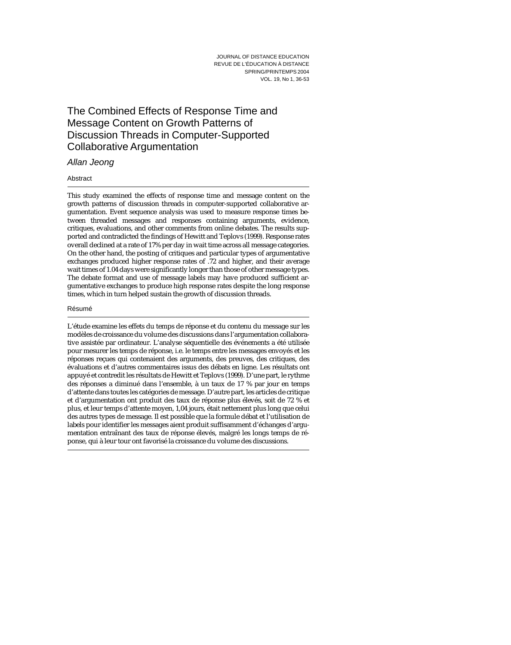# The Combined Effects of Response Time and Message Content on Growth Patterns of Discussion Threads in Computer-Supported Collaborative Argumentation

# Allan Jeong

## Abstract

This study examined the effects of response time and message content on the growth patterns of discussion threads in computer-supported collaborative argumentation. Event sequence analysis was used to measure response times between threaded messages and responses containing arguments, evidence, critiques, evaluations, and other comments from online debates. The results supported and contradicted the findings of Hewitt and Teplovs (1999). Response rates overall declined at a rate of 17% per day in wait time across all message categories. On the other hand, the posting of critiques and particular types of argumentative exchanges produced higher response rates of .72 and higher, and their average wait times of 1.04 days were significantly longer than those of other message types. The debate format and use of message labels may have produced sufficient argumentative exchanges to produce high response rates despite the long response times, which in turn helped sustain the growth of discussion threads.

#### Résumé

L'étude examine les effets du temps de réponse et du contenu du message sur les modèles de croissance du volume des discussions dans l'argumentation collaborative assistée par ordinateur. L'analyse séquentielle des événements a été utilisée pour mesurer les temps de réponse, i.e. le temps entre les messages envoyés et les réponses reçues qui contenaient des arguments, des preuves, des critiques, des évaluations et d'autres commentaires issus des débats en ligne. Les résultats ont appuyé et contredit les résultats de Hewitt et Teplovs (1999). D'une part, le rythme des réponses a diminué dans l'ensemble, à un taux de 17 % par jour en temps d'attente dans toutes les catégories de message. D'autre part, les articles de critique et d'argumentation ont produit des taux de réponse plus élevés, soit de 72 % et plus, et leur temps d'attente moyen, 1,04 jours, était nettement plus long que celui des autres types de message. Il est possible que la formule débat et l'utilisation de labels pour identifier les messages aient produit suffisamment d'échanges d'argumentation entraînant des taux de réponse élevés, malgré les longs temps de réponse, qui à leur tour ont favorisé la croissance du volume des discussions.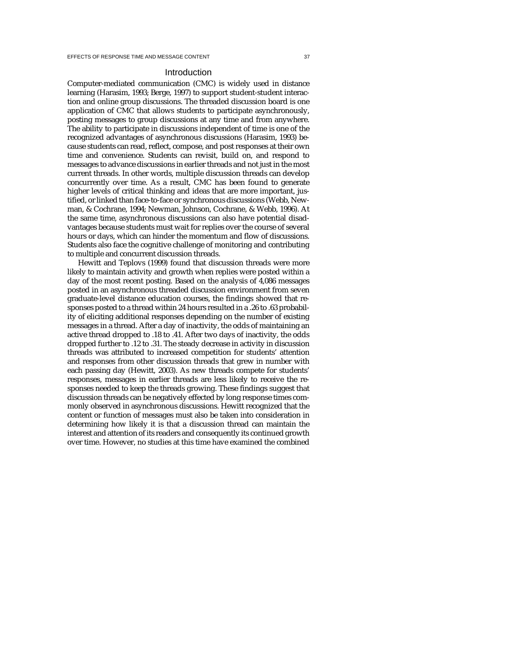### Introduction

Computer-mediated communication (CMC) is widely used in distance learning (Harasim, 1993; Berge, 1997) to support student-student interaction and online group discussions. The threaded discussion board is one application of CMC that allows students to participate asynchronously, posting messages to group discussions at any time and from anywhere. The ability to participate in discussions independent of time is one of the recognized advantages of asynchronous discussions (Harasim, 1993) because students can read, reflect, compose, and post responses at their own time and convenience. Students can revisit, build on, and respond to messages to advance discussions in earlier threads and not just in the most current threads. In other words, multiple discussion threads can develop concurrently over time. As a result, CMC has been found to generate higher levels of critical thinking and ideas that are more important, justified, or linked than face-to-face or synchronous discussions (Webb, Newman, & Cochrane, 1994; Newman, Johnson, Cochrane, & Webb, 1996). At the same time, asynchronous discussions can also have potential disadvantages because students must wait for replies over the course of several hours or days, which can hinder the momentum and flow of discussions. Students also face the cognitive challenge of monitoring and contributing to multiple and concurrent discussion threads.

Hewitt and Teplovs (1999) found that discussion threads were more likely to maintain activity and growth when replies were posted within a day of the most recent posting. Based on the analysis of 4,086 messages posted in an asynchronous threaded discussion environment from seven graduate-level distance education courses, the findings showed that responses posted to a thread within 24 hours resulted in a .26 to .63 probability of eliciting additional responses depending on the number of existing messages in a thread. After a day of inactivity, the odds of maintaining an active thread dropped to .18 to .41. After two days of inactivity, the odds dropped further to .12 to .31. The steady decrease in activity in discussion threads was attributed to increased competition for students' attention and responses from other discussion threads that grew in number with each passing day (Hewitt, 2003). As new threads compete for students' responses, messages in earlier threads are less likely to receive the responses needed to keep the threads growing. These findings suggest that discussion threads can be negatively effected by long response times commonly observed in asynchronous discussions. Hewitt recognized that the content or function of messages must also be taken into consideration in determining how likely it is that a discussion thread can maintain the interest and attention of its readers and consequently its continued growth over time. However, no studies at this time have examined the combined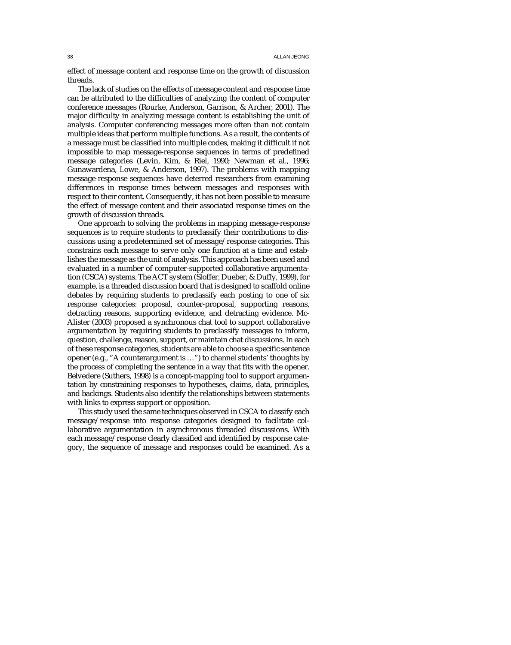effect of message content and response time on the growth of discussion threads.

The lack of studies on the effects of message content and response time can be attributed to the difficulties of analyzing the content of computer conference messages (Rourke, Anderson, Garrison, & Archer, 2001). The major difficulty in analyzing message content is establishing the unit of analysis. Computer conferencing messages more often than not contain multiple ideas that perform multiple functions. As a result, the contents of a message must be classified into multiple codes, making it difficult if not impossible to map message-response sequences in terms of predefined message categories (Levin, Kim, & Riel, 1990; Newman et al., 1996; Gunawardena, Lowe, & Anderson, 1997). The problems with mapping message-response sequences have deterred researchers from examining differences in response times between messages and responses with respect to their content. Consequently, it has not been possible to measure the effect of message content and their associated response times on the growth of discussion threads.

One approach to solving the problems in mapping message-response sequences is to require students to preclassify their contributions to discussions using a predetermined set of message/response categories. This constrains each message to serve only one function at a time and establishes the message as the unit of analysis. This approach has been used and evaluated in a number of computer-supported collaborative argumentation (CSCA) systems. The ACT system (Sloffer, Dueber, & Duffy, 1999), for example, is a threaded discussion board that is designed to scaffold online debates by requiring students to preclassify each posting to one of six response categories: proposal, counter-proposal, supporting reasons, detracting reasons, supporting evidence, and detracting evidence. Mc-Alister (2003) proposed a synchronous chat tool to support collaborative argumentation by requiring students to preclassify messages to inform, question, challenge, reason, support, or maintain chat discussions. In each of these response categories, students are able to choose a specific sentence opener (e.g., "A counterargument is …") to channel students' thoughts by the process of completing the sentence in a way that fits with the opener. Belvedere (Suthers, 1998) is a concept-mapping tool to support argumentation by constraining responses to hypotheses, claims, data, principles, and backings. Students also identify the relationships between statements with links to express support or opposition.

This study used the same techniques observed in CSCA to classify each message/response into response categories designed to facilitate collaborative argumentation in asynchronous threaded discussions. With each message/response clearly classified and identified by response category, the sequence of message and responses could be examined. As a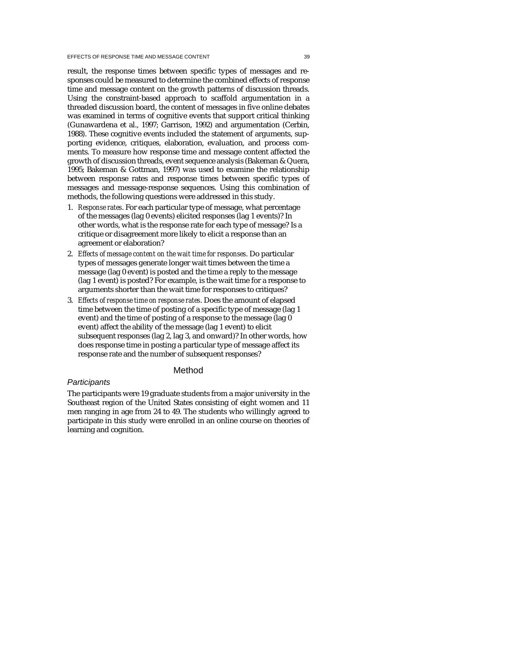result, the response times between specific types of messages and responses could be measured to determine the combined effects of response time and message content on the growth patterns of discussion threads. Using the constraint-based approach to scaffold argumentation in a threaded discussion board, the content of messages in five online debates was examined in terms of cognitive events that support critical thinking (Gunawardena et al., 1997; Garrison, 1992) and argumentation (Cerbin, 1988). These cognitive events included the statement of arguments, supporting evidence, critiques, elaboration, evaluation, and process comments. To measure how response time and message content affected the growth of discussion threads, event sequence analysis (Bakeman & Quera, 1995; Bakeman & Gottman, 1997) was used to examine the relationship between response rates and response times between specific types of messages and message-response sequences. Using this combination of methods, the following questions were addressed in this study.

- 1. *Response rates*. For each particular type of message, what percentage of the messages (lag 0 events) elicited responses (lag 1 events)? In other words, what is the response rate for each type of message? Is a critique or disagreement more likely to elicit a response than an agreement or elaboration?
- 2. *Effects of message content on the wait time for responses*. Do particular types of messages generate longer wait times between the time a message (lag 0 event) is posted and the time a reply to the message (lag 1 event) is posted? For example, is the wait time for a response to arguments shorter than the wait time for responses to critiques?
- 3. *Effects of response time on response rates*. Does the amount of elapsed time between the time of posting of a specific type of message (lag 1 event) and the time of posting of a response to the message (lag 0 event) affect the ability of the message (lag 1 event) to elicit subsequent responses (lag 2, lag 3, and onward)? In other words, how does response time in posting a particular type of message affect its response rate and the number of subsequent responses?

## Method

# **Participants**

The participants were 19 graduate students from a major university in the Southeast region of the United States consisting of eight women and 11 men ranging in age from 24 to 49. The students who willingly agreed to participate in this study were enrolled in an online course on theories of learning and cognition.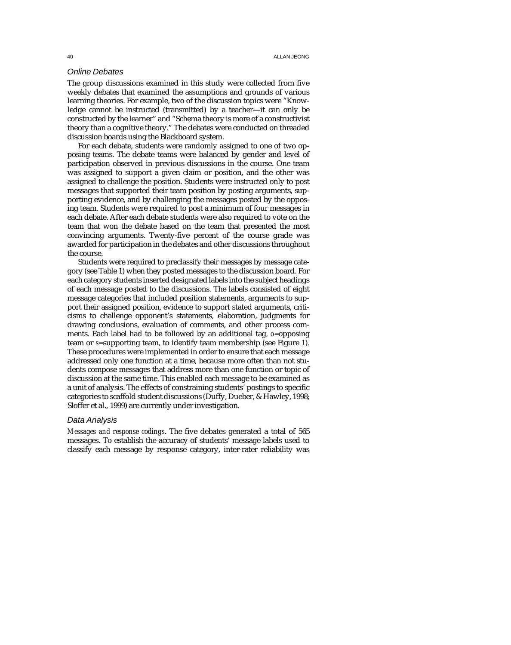## Online Debates

The group discussions examined in this study were collected from five weekly debates that examined the assumptions and grounds of various learning theories. For example, two of the discussion topics were "Knowledge cannot be instructed (transmitted) by a teacher—it can only be constructed by the learner" and "Schema theory is more of a constructivist theory than a cognitive theory." The debates were conducted on threaded discussion boards using the Blackboard system.

For each debate, students were randomly assigned to one of two opposing teams. The debate teams were balanced by gender and level of participation observed in previous discussions in the course. One team was assigned to support a given claim or position, and the other was assigned to challenge the position. Students were instructed only to post messages that supported their team position by posting arguments, supporting evidence, and by challenging the messages posted by the opposing team. Students were required to post a minimum of four messages in each debate. After each debate students were also required to vote on the team that won the debate based on the team that presented the most convincing arguments. Twenty-five percent of the course grade was awarded for participation in the debates and other discussions throughout the course.

Students were required to preclassify their messages by message category (see Table 1) when they posted messages to the discussion board. For each category students inserted designated labels into the subject headings of each message posted to the discussions. The labels consisted of eight message categories that included position statements, arguments to support their assigned position, evidence to support stated arguments, criticisms to challenge opponent's statements, elaboration, judgments for drawing conclusions, evaluation of comments, and other process comments. Each label had to be followed by an additional tag, *o*=opposing team or *s*=supporting team, to identify team membership (see Figure 1). These procedures were implemented in order to ensure that each message addressed only one function at a time, because more often than not students compose messages that address more than one function or topic of discussion at the same time. This enabled each message to be examined as a unit of analysis. The effects of constraining students' postings to specific categories to scaffold student discussions (Duffy, Dueber, & Hawley, 1998; Sloffer et al., 1999) are currently under investigation.

#### Data Analysis

*Messages and response codings*. The five debates generated a total of 565 messages. To establish the accuracy of students' message labels used to classify each message by response category, inter-rater reliability was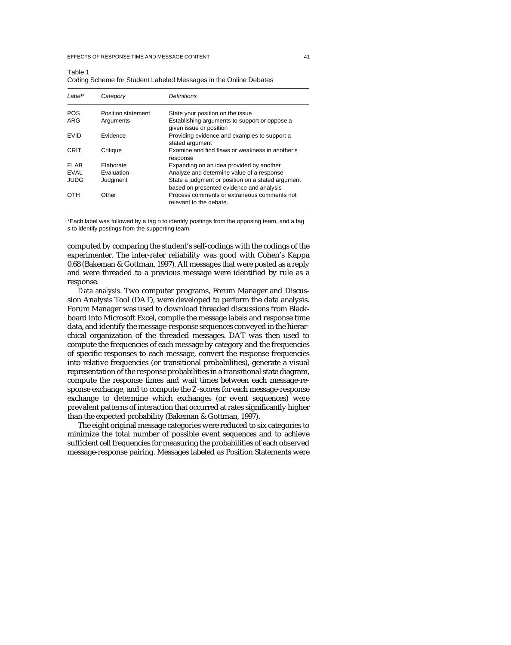#### EFFECTS OF RESPONSE TIME AND MESSAGE CONTENT 41

 $\pm$  1.1  $\pm$ 

| Table 1                                                          |  |  |
|------------------------------------------------------------------|--|--|
| Coding Scheme for Student Labeled Messages in the Online Debates |  |  |

| $l$ abel*         | Category                        | <b>Definitions</b>                                                                                           |
|-------------------|---------------------------------|--------------------------------------------------------------------------------------------------------------|
| <b>POS</b><br>ARG | Position statement<br>Arguments | State your position on the issue<br>Establishing arguments to support or oppose a<br>given issue or position |
| <b>FVID</b>       | <b>Fvidence</b>                 | Providing evidence and examples to support a<br>stated argument                                              |
| CRIT              | Critique                        | Examine and find flaws or weakness in another's<br>response                                                  |
| FI AB             | Elaborate                       | Expanding on an idea provided by another                                                                     |
| <b>FVAI</b>       | <b>Fvaluation</b>               | Analyze and determine value of a response                                                                    |
| <b>JUDG</b>       | Judgment                        | State a judgment or position on a stated argument<br>based on presented evidence and analysis                |
| OTH               | Other                           | Process comments or extraneous comments not<br>relevant to the debate.                                       |

\*Each label was followed by a tag o to identify postings from the opposing team, and a tag s to identify postings from the supporting team.

computed by comparing the student's self-codings with the codings of the experimenter. The inter-rater reliability was good with Cohen's Kappa 0.68 (Bakeman & Gottman, 1997). All messages that were posted as a reply and were threaded to a previous message were identified by rule as a response.

*Data analysis*. Two computer programs, Forum Manager and Discussion Analysis Tool (DAT), were developed to perform the data analysis. Forum Manager was used to download threaded discussions from Blackboard into Microsoft Excel, compile the message labels and response time data, and identify the message-response sequences conveyed in the hierarchical organization of the threaded messages. DAT was then used to compute the frequencies of each message by category and the frequencies of specific responses to each message, convert the response frequencies into relative frequencies (or transitional probabilities), generate a visual representation of the response probabilities in a transitional state diagram, compute the response times and wait times between each message-response exchange, and to compute the *Z*-scores for each message-response exchange to determine which exchanges (or event sequences) were prevalent patterns of interaction that occurred at rates significantly higher than the expected probability (Bakeman & Gottman, 1997).

The eight original message categories were reduced to six categories to minimize the total number of possible event sequences and to achieve sufficient cell frequencies for measuring the probabilities of each observed message-response pairing. Messages labeled as Position Statements were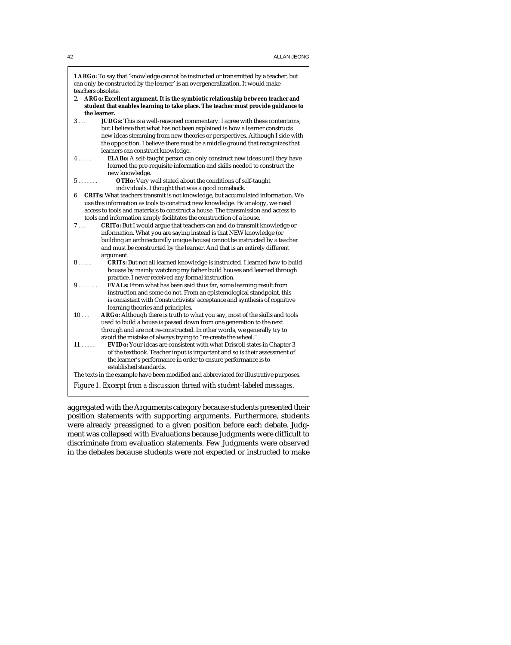1 **ARGo:** To say that 'knowledge cannot be instructed or transmitted by a teacher, but can only be constructed by the learner' is an overgeneralization. It would make teachers obsolete.

- 2. **ARGo: Excellent argument. It is the symbiotic relationship between teacher and student that enables learning to take place. The teacher must provide guidance to the learner.**<br>**3**... **JUD**
- 3 . . . **JUDGs:** This is a well-reasoned commentary. I agree with these contentions, but I believe that what has not been explained is how a learner constructs new ideas stemming from new theories or perspectives. Although I side with the opposition, I believe there must be a middle ground that recognizes that learners can construct knowledge.
- 4 . . . . . **ELABo:** A self-taught person can only construct new ideas until they have learned the pre-requisite information and skills needed to construct the new knowledge.
- 5 . . . . . . . **OTHo:** Very well stated about the conditions of self-taught individuals. I thought that was a good comeback.
- 6 **CRITs:** What teachers transmit is not knowledge, but accumulated information. We use this information as tools to construct new knowledge. By analogy, we need access to tools and materials to construct a house. The transmission and access to tools and information simply facilitates the construction of a house.
- 7 . . . **CRITo:** But I would argue that teachers can and do transmit knowledge or information. What you are saying instead is that NEW knowledge (or building an architecturally unique house) cannot be instructed by a teacher and must be constructed by the learner. And that is an entirely different argument.
- 8..... **CRITs:** But not all learned knowledge is instructed. I learned how to build houses by mainly watching my father build houses and learned through practice. I never received any formal instruction.
- 9 . . . . . . . **EVALs:** From what has been said thus far, some learning result from instruction and some do not. From an epistemological standpoint, this is consistent with Constructivists' acceptance and synthesis of cognitive learning theories and principles.
- 10 . . . **ARGo:** Although there is truth to what you say, most of the skills and tools used to build a house is passed down from one generation to the next through and are not re-constructed. In other words, we generally try to avoid the mistake of always trying to "re-create the wheel."
- 11 . . . . . **EVIDo:** Your ideas are consistent with what Driscoll states in Chapter 3 of the textbook. Teacher input is important and so is their assessment of the learner's performance in order to ensure performance is to established standards.

The texts in the example have been modified and abbreviated for illustrative purposes. *Figure 1. Excerpt from a discussion thread with student-labeled messages.*

aggregated with the Arguments category because students presented their position statements with supporting arguments. Furthermore, students were already preassigned to a given position before each debate. Judgment was collapsed with Evaluations because Judgments were difficult to discriminate from evaluation statements. Few Judgments were observed

in the debates because students were not expected or instructed to make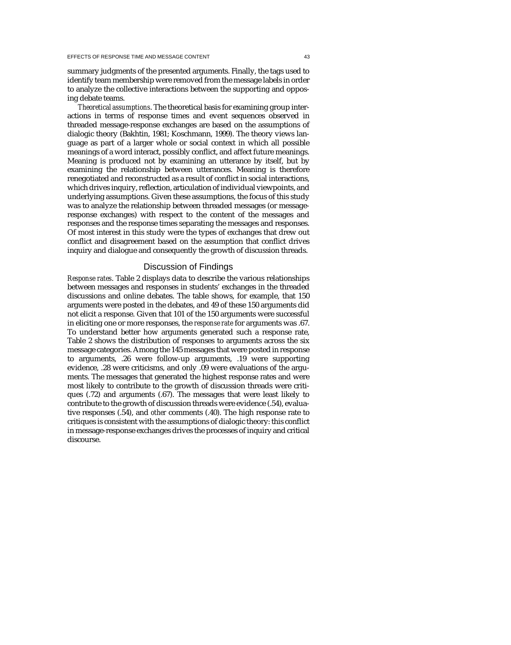summary judgments of the presented arguments. Finally, the tags used to identify team membership were removed from the message labels in order to analyze the collective interactions between the supporting and opposing debate teams.

*Theoretical assumptions*. The theoretical basis for examining group interactions in terms of response times and event sequences observed in threaded message-response exchanges are based on the assumptions of dialogic theory (Bakhtin, 1981; Koschmann, 1999). The theory views language as part of a larger whole or social context in which all possible meanings of a word interact, possibly conflict, and affect future meanings. Meaning is produced not by examining an utterance by itself, but by examining the relationship between utterances. Meaning is therefore renegotiated and reconstructed as a result of conflict in social interactions, which drives inquiry, reflection, articulation of individual viewpoints, and underlying assumptions. Given these assumptions, the focus of this study was to analyze the relationship between threaded messages (or messageresponse exchanges) with respect to the content of the messages and responses and the response times separating the messages and responses. Of most interest in this study were the types of exchanges that drew out conflict and disagreement based on the assumption that conflict drives inquiry and dialogue and consequently the growth of discussion threads.

### Discussion of Findings

*Response rates*. Table 2 displays data to describe the various relationships between messages and responses in students' exchanges in the threaded discussions and online debates. The table shows, for example, that 150 arguments were posted in the debates, and 49 of these 150 arguments did not elicit a response. Given that 101 of the 150 arguments were successful in eliciting one or more responses, the *response rate* for arguments was .67. To understand better how arguments generated such a response rate, Table 2 shows the distribution of responses to arguments across the six message categories. Among the 145 messages that were posted in response to arguments, .26 were follow-up arguments, .19 were supporting evidence, .28 were criticisms, and only .09 were evaluations of the arguments. The messages that generated the highest response rates and were most likely to contribute to the growth of discussion threads were critiques (.72) and arguments (.67). The messages that were least likely to contribute to the growth of discussion threads were evidence (.54), evaluative responses (.54), and *other* comments (.40). The high response rate to critiques is consistent with the assumptions of dialogic theory: this conflict in message-response exchanges drives the processes of inquiry and critical discourse.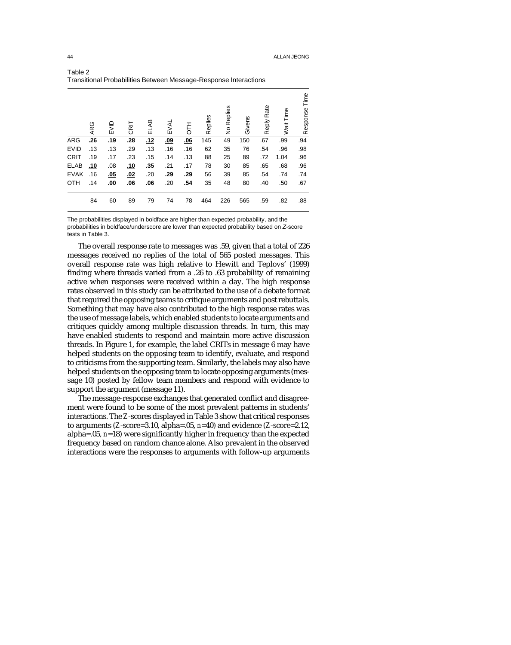|             | ARG        | EVID       | CRIT       | ELAB | EVAL       | HT<br>5 | Replies | No Replies | Givens | Reply Rate | Wait Time | Time<br>Response |
|-------------|------------|------------|------------|------|------------|---------|---------|------------|--------|------------|-----------|------------------|
| <b>ARG</b>  | .26        | .19        | .28        | .12  | <u>.09</u> | .06     | 145     | 49         | 150    | .67        | .99       | .94              |
| <b>EVID</b> | .13        | .13        | .29        | .13  | .16        | .16     | 62      | 35         | 76     | .54        | .96       | .98              |
| <b>CRIT</b> | .19        | .17        | .23        | .15  | .14        | .13     | 88      | 25         | 89     | .72        | 1.04      | .96              |
| <b>ELAB</b> | <u>.10</u> | .08        | <u>.10</u> | .35  | .21        | .17     | 78      | 30         | 85     | .65        | .68       | .96              |
| <b>EVAK</b> | .16        | <u>.05</u> | <u>.02</u> | .20  | .29        | .29     | 56      | 39         | 85     | .54        | .74       | .74              |
| OTH         | .14        | <u>.00</u> | <u>.06</u> | .06  | .20        | .54     | 35      | 48         | 80     | .40        | .50       | .67              |
|             | 84         | 60         | 89         | 79   | 74         | 78      | 464     | 226        | 565    | .59        | .82       | .88              |

Table 2 Transitional Probabilities Between Message-Response Interactions

The probabilities displayed in boldface are higher than expected probability, and the probabilities in boldface/underscore are lower than expected probability based on Z-score tests in Table 3.

The overall response rate to messages was .59, given that a total of 226 messages received no replies of the total of 565 posted messages. This overall response rate was high relative to Hewitt and Teplovs' (1999) finding where threads varied from a .26 to .63 probability of remaining active when responses were received within a day. The high response rates observed in this study can be attributed to the use of a debate format that required the opposing teams to critique arguments and post rebuttals. Something that may have also contributed to the high response rates was the use of message labels, which enabled students to locate arguments and critiques quickly among multiple discussion threads. In turn, this may have enabled students to respond and maintain more active discussion threads. In Figure 1, for example, the label CRITs in message 6 may have helped students on the opposing team to identify, evaluate, and respond to criticisms from the supporting team. Similarly, the labels may also have helped students on the opposing team to locate opposing arguments (message 10) posted by fellow team members and respond with evidence to support the argument (message 11).

The message-response exchanges that generated conflict and disagreement were found to be some of the most prevalent patterns in students' interactions. The *Z*-scores displayed in Table 3 show that critical responses to arguments (*Z*-score=3.10, alpha=.05, *n*=40) and evidence (*Z*-score=2.12, alpha=.05, *n*=18) were significantly higher in frequency than the expected frequency based on random chance alone. Also prevalent in the observed interactions were the responses to arguments with follow-up arguments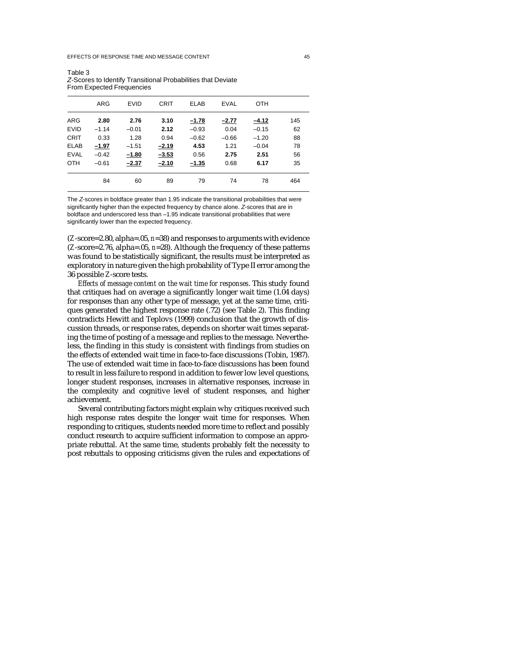#### EFFECTS OF RESPONSE TIME AND MESSAGE CONTENT 45

|                            | ARG                | <b>EVID</b>        | CRIT               | <b>ELAB</b>        | <b>EVAL</b>     | <b>OTH</b>         |           |
|----------------------------|--------------------|--------------------|--------------------|--------------------|-----------------|--------------------|-----------|
| <b>ARG</b><br><b>EVID</b>  | 2.80<br>$-1.14$    | 2.76<br>$-0.01$    | 3.10<br>2.12       | $-1.78$<br>$-0.93$ | $-2.77$<br>0.04 | $-4.12$<br>$-0.15$ | 145<br>62 |
| <b>CRIT</b>                | 0.33               | 1.28               | 0.94               | $-0.62$            | $-0.66$         | $-1.20$            | 88        |
| <b>ELAB</b><br><b>EVAL</b> | $-1.97$<br>$-0.42$ | $-1.51$<br>$-1.80$ | $-2.19$<br>$-3.53$ | 4.53<br>0.56       | 1.21<br>2.75    | $-0.04$<br>2.51    | 78<br>56  |
| <b>OTH</b>                 | $-0.61$            | $-2.37$            | $-2.10$            | $-1.35$            | 0.68            | 6.17               | 35        |
|                            | 84                 | 60                 | 89                 | 79                 | 74              | 78                 | 464       |
|                            |                    |                    |                    |                    |                 |                    |           |

Table 3 Z-Scores to Identify Transitional Probabilities that Deviate From Expected Frequencies

The Z-scores in boldface greater than 1.95 indicate the transitional probabilities that were significantly higher than the expected frequency by chance alone. Z-scores that are in boldface and underscored less than –1.95 indicate transitional probabilities that were significantly lower than the expected frequency.

(*Z*-score=2.80, alpha=.05, *n*=38) and responses to arguments with evidence (*Z*-score=2.76, alpha=.05, *n*=28). Although the frequency of these patterns was found to be statistically significant, the results must be interpreted as exploratory in nature given the high probability of Type II error among the 36 possible *Z*-score tests.

*Effects of message content on the wait time for responses*. This study found that critiques had on average a significantly longer wait time (1.04 days) for responses than any other type of message, yet at the same time, critiques generated the highest response rate (.72) (see Table 2). This finding contradicts Hewitt and Teplovs (1999) conclusion that the growth of discussion threads, or response rates, depends on shorter wait times separating the time of posting of a message and replies to the message. Nevertheless, the finding in this study is consistent with findings from studies on the effects of extended wait time in face-to-face discussions (Tobin, 1987). The use of extended wait time in face-to-face discussions has been found to result in less failure to respond in addition to fewer low level questions, longer student responses, increases in alternative responses, increase in the complexity and cognitive level of student responses, and higher achievement.

Several contributing factors might explain why critiques received such high response rates despite the longer wait time for responses. When responding to critiques, students needed more time to reflect and possibly conduct research to acquire sufficient information to compose an appropriate rebuttal. At the same time, students probably felt the necessity to post rebuttals to opposing criticisms given the rules and expectations of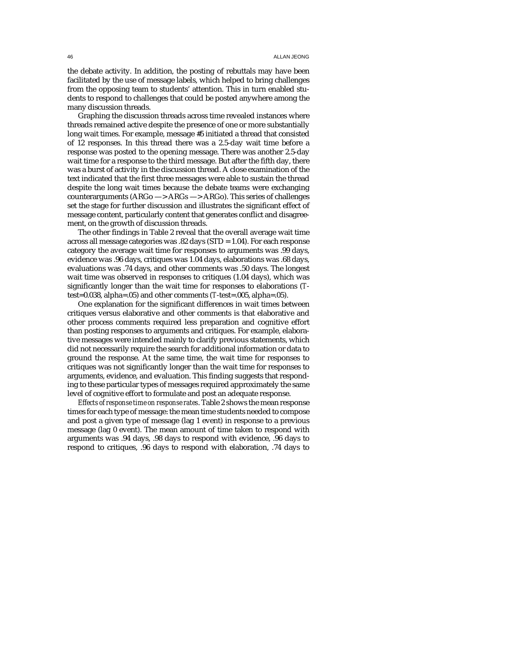#### 46 ALLAN JEONG

the debate activity. In addition, the posting of rebuttals may have been facilitated by the use of message labels, which helped to bring challenges from the opposing team to students' attention. This in turn enabled students to respond to challenges that could be posted anywhere among the many discussion threads.

Graphing the discussion threads across time revealed instances where threads remained active despite the presence of one or more substantially long wait times. For example, message #5 initiated a thread that consisted of 12 responses. In this thread there was a 2.5-day wait time before a response was posted to the opening message. There was another 2.5-day wait time for a response to the third message. But after the fifth day, there was a burst of activity in the discussion thread. A close examination of the text indicated that the first three messages were able to sustain the thread despite the long wait times because the debate teams were exchanging counterarguments (ARGo —> ARGs —> ARGo). This series of challenges set the stage for further discussion and illustrates the significant effect of message content, particularly content that generates conflict and disagreement, on the growth of discussion threads.

The other findings in Table 2 reveal that the overall average wait time across all message categories was .82 days (STD = 1.04). For each response category the average wait time for responses to arguments was .99 days, evidence was .96 days, critiques was 1.04 days, elaborations was .68 days, evaluations was .74 days, and other comments was .50 days. The longest wait time was observed in responses to critiques (1.04 days), which was significantly longer than the wait time for responses to elaborations (*T*test=0.038, alpha=.05) and other comments (*T*-test=.005, alpha=.05).

One explanation for the significant differences in wait times between critiques versus elaborative and other comments is that elaborative and other process comments required less preparation and cognitive effort than posting responses to arguments and critiques. For example, elaborative messages were intended mainly to clarify previous statements, which did not necessarily require the search for additional information or data to ground the response. At the same time, the wait time for responses to critiques was not significantly longer than the wait time for responses to arguments, evidence, and evaluation. This finding suggests that responding to these particular types of messages required approximately the same level of cognitive effort to formulate and post an adequate response.

*Effects of response time on response rates*. Table 2 shows the mean response times for each type of message: the mean time students needed to compose and post a given type of message (lag 1 event) in response to a previous message (lag 0 event). The mean amount of time taken to respond with arguments was .94 days, .98 days to respond with evidence, .96 days to respond to critiques, .96 days to respond with elaboration, .74 days to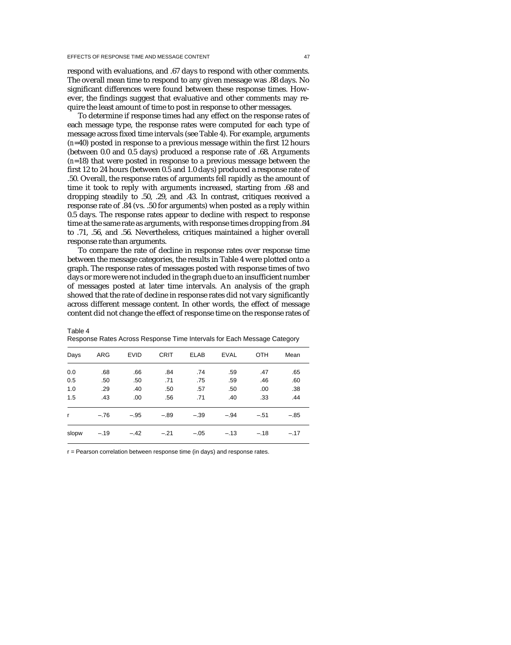respond with evaluations, and .67 days to respond with other comments. The overall mean time to respond to any given message was .88 days. No significant differences were found between these response times. However, the findings suggest that evaluative and other comments may require the least amount of time to post in response to other messages.

To determine if response times had any effect on the response rates of each message type, the response rates were computed for each type of message across fixed time intervals (see Table 4). For example, arguments (*n*=40) posted in response to a previous message within the first 12 hours (between 0.0 and 0.5 days) produced a response rate of .68. Arguments (*n*=18) that were posted in response to a previous message between the first 12 to 24 hours (between 0.5 and 1.0 days) produced a response rate of .50. Overall, the response rates of arguments fell rapidly as the amount of time it took to reply with arguments increased, starting from .68 and dropping steadily to .50, .29, and .43. In contrast, critiques received a response rate of .84 (vs. .50 for arguments) when posted as a reply within 0.5 days. The response rates appear to decline with respect to response time at the same rate as arguments, with response times dropping from .84 to .71, .56, and .56. Nevertheless, critiques maintained a higher overall response rate than arguments.

To compare the rate of decline in response rates over response time between the message categories, the results in Table 4 were plotted onto a graph. The response rates of messages posted with response times of two days or more were not included in the graph due to an insufficient number of messages posted at later time intervals. An analysis of the graph showed that the rate of decline in response rates did not vary significantly across different message content. In other words, the effect of message content did not change the effect of response time on the response rates of

Table 4 Response Rates Across Response Time Intervals for Each Message Category

| Days         | ARG    | <b>EVID</b> | <b>CRIT</b> | <b>ELAB</b> | <b>EVAL</b> | <b>OTH</b> | Mean   |
|--------------|--------|-------------|-------------|-------------|-------------|------------|--------|
| 0.0          | .68    | .66         | .84         | .74         | .59         | .47        | .65    |
| 0.5          | .50    | .50         | .71         | .75         | .59         | .46        | .60    |
| 1.0          | .29    | .40         | .50         | .57         | .50         | .00        | .38    |
| 1.5          | .43    | .00         | .56         | .71         | .40         | .33        | .44    |
| $\mathsf{r}$ | $-.76$ | $-.95$      | $-.89$      | $-.39$      | $-.94$      | $-.51$     | $-.85$ |
| slopw        | $-.19$ | $-.42$      | $-.21$      | $-.05$      | $-.13$      | $-.18$     | $-.17$ |

r = Pearson correlation between response time (in days) and response rates.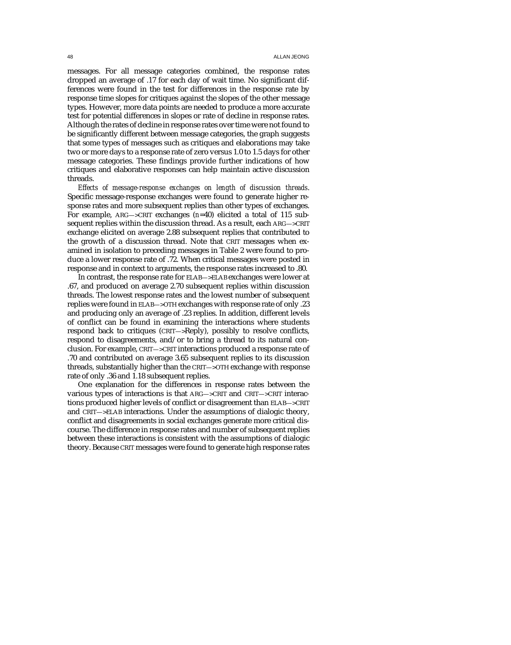messages. For all message categories combined, the response rates dropped an average of .17 for each day of wait time. No significant differences were found in the test for differences in the response rate by response time slopes for critiques against the slopes of the other message types. However, more data points are needed to produce a more accurate test for potential differences in slopes or rate of decline in response rates. Although the rates of decline in response rates over time were not found to be significantly different between message categories, the graph suggests that some types of messages such as critiques and elaborations may take two or more days to a response rate of zero versus 1.0 to 1.5 days for other message categories. These findings provide further indications of how critiques and elaborative responses can help maintain active discussion threads.

*Effects of message-response exchanges on length of discussion threads*. Specific message-response exchanges were found to generate higher response rates and more subsequent replies than other types of exchanges. For example, ARG—>CRIT exchanges (*n*=40) elicited a total of 115 subsequent replies within the discussion thread. As a result, each ARG—>CRIT exchange elicited on average 2.88 subsequent replies that contributed to the growth of a discussion thread. Note that CRIT messages when examined in isolation to preceding messages in Table 2 were found to produce a lower response rate of .72. When critical messages were posted in response and in context to arguments, the response rates increased to .80.

In contrast, the response rate for ELAB—>ELAB exchanges were lower at .67, and produced on average 2.70 subsequent replies within discussion threads. The lowest response rates and the lowest number of subsequent replies were found in ELAB—>OTH exchanges with response rate of only .23 and producing only an average of .23 replies. In addition, different levels of conflict can be found in examining the interactions where students respond back to critiques (CRIT—>Reply), possibly to resolve conflicts, respond to disagreements, and/or to bring a thread to its natural conclusion. For example, CRIT—>CRIT interactions produced a response rate of .70 and contributed on average 3.65 subsequent replies to its discussion threads, substantially higher than the CRIT—>OTH exchange with response rate of only .36 and 1.18 subsequent replies.

One explanation for the differences in response rates between the various types of interactions is that ARG—>CRIT and CRIT—>CRIT interactions produced higher levels of conflict or disagreement than ELAB—>CRIT and CRIT—>ELAB interactions. Under the assumptions of dialogic theory, conflict and disagreements in social exchanges generate more critical discourse. The difference in response rates and number of subsequent replies between these interactions is consistent with the assumptions of dialogic theory. Because CRIT messages were found to generate high response rates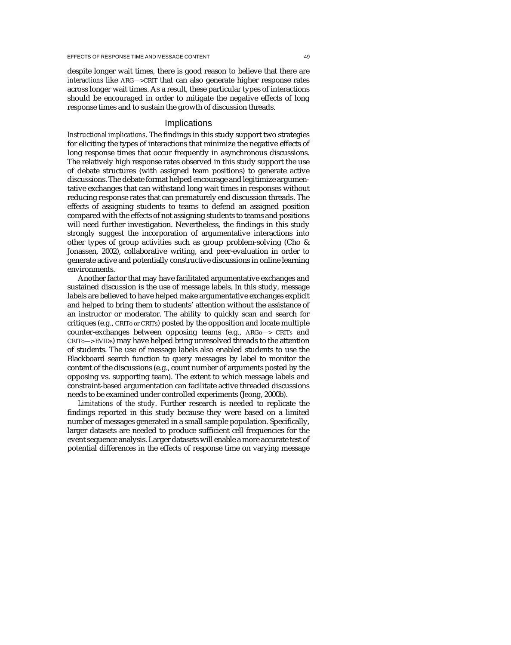despite longer wait times, there is good reason to believe that there are *interactions* like ARG—>CRIT that can also generate higher response rates across longer wait times. As a result, these particular types of interactions should be encouraged in order to mitigate the negative effects of long response times and to sustain the growth of discussion threads.

## Implications

*Instructional implications*. The findings in this study support two strategies for eliciting the types of interactions that minimize the negative effects of long response times that occur frequently in asynchronous discussions. The relatively high response rates observed in this study support the use of debate structures (with assigned team positions) to generate active discussions. The debate format helped encourage and legitimize argumentative exchanges that can withstand long wait times in responses without reducing response rates that can prematurely end discussion threads. The effects of assigning students to teams to defend an assigned position compared with the effects of not assigning students to teams and positions will need further investigation. Nevertheless, the findings in this study strongly suggest the incorporation of argumentative interactions into other types of group activities such as group problem-solving (Cho & Jonassen, 2002), collaborative writing, and peer-evaluation in order to generate active and potentially constructive discussions in online learning environments.

Another factor that may have facilitated argumentative exchanges and sustained discussion is the use of message labels. In this study, message labels are believed to have helped make argumentative exchanges explicit and helped to bring them to students' attention without the assistance of an instructor or moderator. The ability to quickly scan and search for critiques (e.g., CRITo or CRITs) posted by the opposition and locate multiple counter-exchanges between opposing teams (e.g., ARGo—> CRITs and CRITo—> EVIDs) may have helped bring unresolved threads to the attention of students. The use of message labels also enabled students to use the Blackboard search function to query messages by label to monitor the content of the discussions (e.g., count number of arguments posted by the opposing vs. supporting team). The extent to which message labels and constraint-based argumentation can facilitate active threaded discussions needs to be examined under controlled experiments (Jeong, 2000b).

*Limitations of the study*. Further research is needed to replicate the findings reported in this study because they were based on a limited number of messages generated in a small sample population. Specifically, larger datasets are needed to produce sufficient cell frequencies for the event sequence analysis. Larger datasets will enable a more accurate test of potential differences in the effects of response time on varying message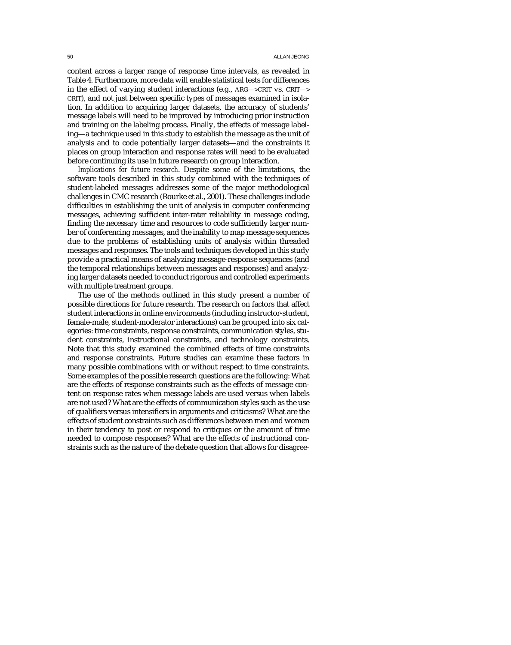content across a larger range of response time intervals, as revealed in Table 4. Furthermore, more data will enable statistical tests for differences in the effect of varying student interactions (e.g., ARG—>CRIT vs. CRIT—> CRIT), and not just between specific types of messages examined in isolation. In addition to acquiring larger datasets, the accuracy of students' message labels will need to be improved by introducing prior instruction and training on the labeling process. Finally, the effects of message labeling—a technique used in this study to establish the message as the unit of analysis and to code potentially larger datasets—and the constraints it places on group interaction and response rates will need to be evaluated before continuing its use in future research on group interaction.

*Implications for future research*. Despite some of the limitations, the software tools described in this study combined with the techniques of student-labeled messages addresses some of the major methodological challenges in CMC research (Rourke et al., 2001). These challenges include difficulties in establishing the unit of analysis in computer conferencing messages, achieving sufficient inter-rater reliability in message coding, finding the necessary time and resources to code sufficiently larger number of conferencing messages, and the inability to map message sequences due to the problems of establishing units of analysis within threaded messages and responses. The tools and techniques developed in this study provide a practical means of analyzing message-response sequences (and the temporal relationships between messages and responses) and analyzing larger datasets needed to conduct rigorous and controlled experiments with multiple treatment groups.

The use of the methods outlined in this study present a number of possible directions for future research. The research on factors that affect student interactions in online environments (including instructor-student, female-male, student-moderator interactions) can be grouped into six categories: time constraints, response constraints, communication styles, student constraints, instructional constraints, and technology constraints. Note that this study examined the combined effects of time constraints and response constraints. Future studies can examine these factors in many possible combinations with or without respect to time constraints. Some examples of the possible research questions are the following: What are the effects of response constraints such as the effects of message content on response rates when message labels are used versus when labels are not used? What are the effects of communication styles such as the use of qualifiers versus intensifiers in arguments and criticisms? What are the effects of student constraints such as differences between men and women in their tendency to post or respond to critiques or the amount of time needed to compose responses? What are the effects of instructional constraints such as the nature of the debate question that allows for disagree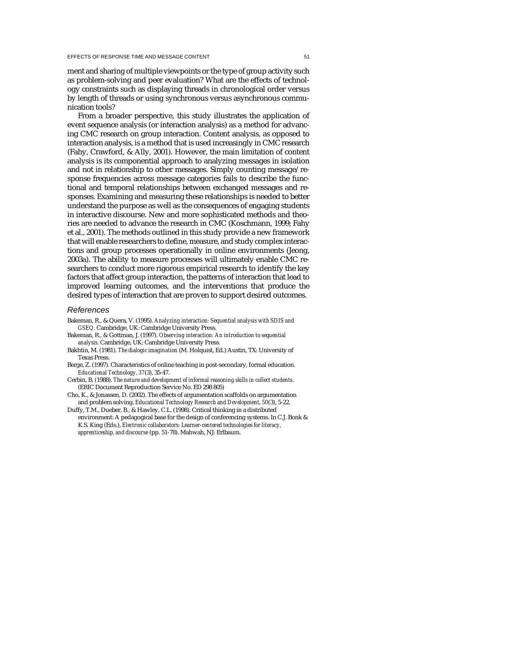ment and sharing of multiple viewpoints or the type of group activity such as problem-solving and peer evaluation? What are the effects of technology constraints such as displaying threads in chronological order versus by length of threads or using synchronous versus asynchronous communication tools?

From a broader perspective, this study illustrates the application of event sequence analysis (or interaction analysis) as a method for advancing CMC research on group interaction. Content analysis, as opposed to interaction analysis, is a method that is used increasingly in CMC research (Fahy, Crawford, & Ally, 2001). However, the main limitation of content analysis is its componential approach to analyzing messages in isolation and not in relationship to other messages. Simply counting message/response frequencies across message categories fails to describe the functional and temporal relationships between exchanged messages and responses. Examining and measuring these relationships is needed to better understand the purpose as well as the consequences of engaging students in interactive discourse. New and more sophisticated methods and theories are needed to advance the research in CMC (Koschmann, 1999; Fahy et al., 2001). The methods outlined in this study provide a new framework that will enable researchers to define, measure, and study complex interactions and group processes operationally in online environments (Jeong, 2003a). The ability to measure processes will ultimately enable CMC researchers to conduct more rigorous empirical research to identify the key factors that affect group interaction, the patterns of interaction that lead to improved learning outcomes, and the interventions that produce the desired types of interaction that are proven to support desired outcomes.

#### References

- Bakeman, R., & Quera, V. (1995). *Analyzing interaction: Sequential analysis with SDIS and GSEQ.* Cambridge, UK: Cambridge University Press.
- Bakeman, R., & Gottman, J. (1997). *Observing interaction: An introduction to sequential analysis*. Cambridge, UK: Cambridge University Press.
- Bakhtin, M. (1981). *The dialogic imagination* (M. Holquist, Ed.) Austin, TX: University of Texas Press.
- Berge, Z. (1997). Characteristics of online teaching in post-secondary, formal education. *Educational Technology, 37*(3), 35-47.
- Cerbin, B. (1988). *The nature and development of informal reasoning skills in collect students*. (ERIC Document Reproduction Service No. ED 298 805)
- Cho, K., & Jonassen, D. (2002). The effects of argumentation scaffolds on argumentation and problem solving. *Educational Technology Research and Development, 50*(3), 5-22.
- Duffy, T.M., Dueber, B., & Hawley, C.L. (1998). Critical thinking in a distributed environment: A pedagogical base for the design of conferencing systems. In C.J. Bonk & K.S. King (Eds.), *Electronic collaborators: Learner-centered technologies for literacy, apprenticeship, and discourse* (pp. 51-78). Mahwah, NJ: Erlbaum.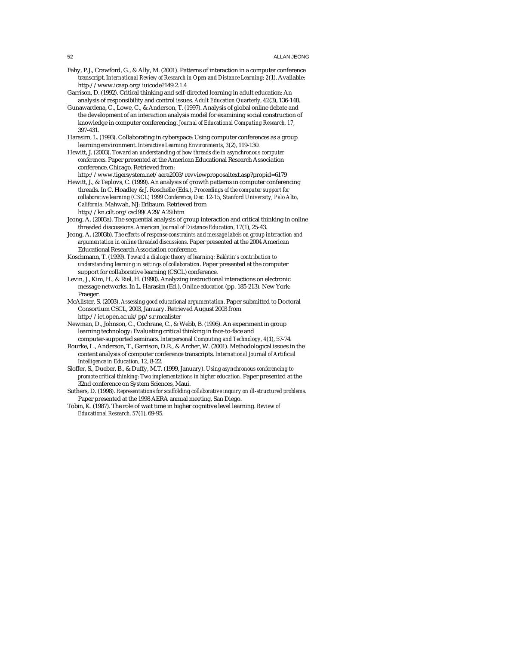- Fahy, P.J., Crawford, G., & Ally, M. (2001). Patterns of interaction in a computer conference transcript. *International Review of Research in Open and Distance Learning: 2*(1). Available: http://www.icaap.org/iuicode?149.2.1.4
- Garrison, D. (1992). Critical thinking and self-directed learning in adult education: An analysis of responsibility and control issues. *Adult Education Quarterly, 42*(3), 136-148.
- Gunawardena, C., Lowe, C., & Anderson, T. (1997). Analysis of global online debate and the development of an interaction analysis model for examining social construction of knowledge in computer conferencing. *Journal of Educational Computing Research, 17*, 397-431.
- Harasim, L. (1993). Collaborating in cyberspace: Using computer conferences as a group learning environment. *Interactive Learning Environments, 3*(2), 119-130.
- Hewitt, J. (2003). *Toward an understanding of how threads die in asynchronous computer conferences*. Paper presented at the American Educational Research Association conference, Chicago. Retrieved from:
- http://www.tigersystem.net/aera2003/revviewproposaltext.asp?propid=6179 Hewitt, J., & Teplovs, C. (1999). An analysis of growth patterns in computer conferencing threads. In C. Hoadley & J. Roschelle (Eds.), *Proceedings of the computer support for collaborative learning (CSCL) 1999 Conference, Dec. 12-15, Stanford University, Palo Alto, California*. Mahwah, NJ: Erlbaum. Retrieved from http://kn.cilt.org/cscl99/A29/A29.htm

Jeong, A. (2003a). The sequential analysis of group interaction and critical thinking in online

threaded discussions. *American Journal of Distance Education, 17*(1), 25-43.

- Jeong, A. (2003b). *The effects of response constraints and message labels on group interaction and argumentation in online threaded discussions*. Paper presented at the 2004 American Educational Research Association conference.
- Koschmann, T. (1999). *Toward a dialogic theory of learning: Bakhtin's contribution to understanding learning in settings of collaboration*. Paper presented at the computer support for collaborative learning (CSCL) conference.
- Levin, J., Kim, H., & Riel, H. (1990). Analyzing instructional interactions on electronic message networks. In L. Harasim (Ed.), *Online education* (pp. 185-213). New York: Praeger.
- McAlister, S. (2003). *Assessing good educational argumentation*. Paper submitted to Doctoral Consortium CSCL, 2003, January. Retrieved August 2003 from http://iet.open.ac.uk/pp/s.r.mcalister
- Newman, D., Johnson, C., Cochrane, C., & Webb, B. (1996). An experiment in group learning technology: Evaluating critical thinking in face-to-face and
- computer-supported seminars. *Interpersonal Computing and Technology, 4*(1), 57-74. Rourke, L., Anderson, T., Garrison, D.R., & Archer, W. (2001). Methodological issues in the content analysis of computer conference transcripts. *International Journal of Artificial*
- *Intelligence in Education, 12*, 8-22. Sloffer, S., Dueber, B., & Duffy, M.T. (1999, January). *Using asynchronous conferencing to promote critical thinking: Two implementations in higher education*. Paper presented at the 32nd conference on System Sciences, Maui.
- Suthers, D. (1998). *Representations for scaffolding collaborative inquiry on ill-structured problems*. Paper presented at the 1998 AERA annual meeting, San Diego.
- Tobin, K. (1987). The role of wait time in higher cognitive level learning. *Review of Educational Research, 57*(1), 69-95.